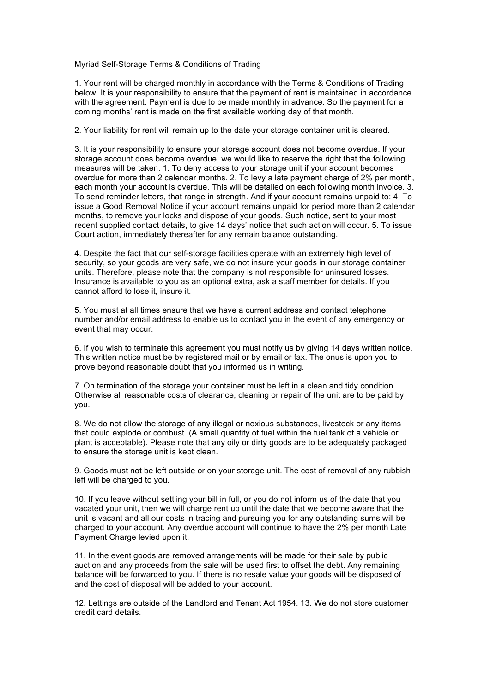Myriad Self-Storage Terms & Conditions of Trading

1. Your rent will be charged monthly in accordance with the Terms & Conditions of Trading below. It is your responsibility to ensure that the payment of rent is maintained in accordance with the agreement. Payment is due to be made monthly in advance. So the payment for a coming months' rent is made on the first available working day of that month.

2. Your liability for rent will remain up to the date your storage container unit is cleared.

3. It is your responsibility to ensure your storage account does not become overdue. If your storage account does become overdue, we would like to reserve the right that the following measures will be taken. 1. To deny access to your storage unit if your account becomes overdue for more than 2 calendar months. 2. To levy a late payment charge of 2% per month, each month your account is overdue. This will be detailed on each following month invoice. 3. To send reminder letters, that range in strength. And if your account remains unpaid to: 4. To issue a Good Removal Notice if your account remains unpaid for period more than 2 calendar months, to remove your locks and dispose of your goods. Such notice, sent to your most recent supplied contact details, to give 14 days' notice that such action will occur. 5. To issue Court action, immediately thereafter for any remain balance outstanding.

4. Despite the fact that our self-storage facilities operate with an extremely high level of security, so your goods are very safe, we do not insure your goods in our storage container units. Therefore, please note that the company is not responsible for uninsured losses. Insurance is available to you as an optional extra, ask a staff member for details. If you cannot afford to lose it, insure it.

5. You must at all times ensure that we have a current address and contact telephone number and/or email address to enable us to contact you in the event of any emergency or event that may occur.

6. If you wish to terminate this agreement you must notify us by giving 14 days written notice. This written notice must be by registered mail or by email or fax. The onus is upon you to prove beyond reasonable doubt that you informed us in writing.

7. On termination of the storage your container must be left in a clean and tidy condition. Otherwise all reasonable costs of clearance, cleaning or repair of the unit are to be paid by you.

8. We do not allow the storage of any illegal or noxious substances, livestock or any items that could explode or combust. (A small quantity of fuel within the fuel tank of a vehicle or plant is acceptable). Please note that any oily or dirty goods are to be adequately packaged to ensure the storage unit is kept clean.

9. Goods must not be left outside or on your storage unit. The cost of removal of any rubbish left will be charged to you.

10. If you leave without settling your bill in full, or you do not inform us of the date that you vacated your unit, then we will charge rent up until the date that we become aware that the unit is vacant and all our costs in tracing and pursuing you for any outstanding sums will be charged to your account. Any overdue account will continue to have the 2% per month Late Payment Charge levied upon it.

11. In the event goods are removed arrangements will be made for their sale by public auction and any proceeds from the sale will be used first to offset the debt. Any remaining balance will be forwarded to you. If there is no resale value your goods will be disposed of and the cost of disposal will be added to your account.

12. Lettings are outside of the Landlord and Tenant Act 1954. 13. We do not store customer credit card details.